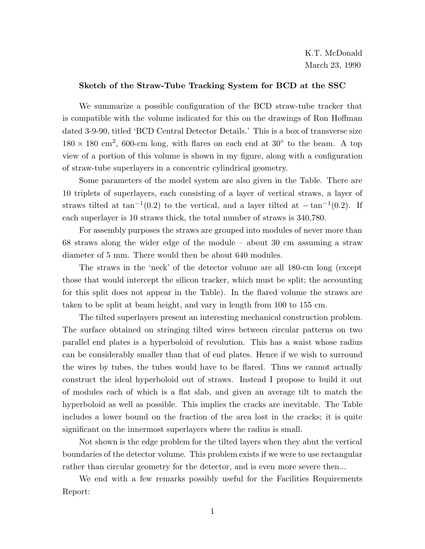## **Sketch of the Straw-Tube Tracking System for BCD at the SSC**

We summarize a possible configuration of the BCD straw-tube tracker that is compatible with the volume indicated for this on the drawings of Ron Hoffman dated 3-9-90, titled 'BCD Central Detector Details.' This is a box of transverse size  $180 \times 180$  cm<sup>2</sup>, 600-cm long, with flares on each end at 30 $\degree$  to the beam. A top view of a portion of this volume is shown in my figure, along with a configuration of straw-tube superlayers in a concentric cylindrical geometry.

Some parameters of the model system are also given in the Table. There are 10 triplets of superlayers, each consisting of a layer of vertical straws, a layer of straws tilted at tan<sup>-1</sup>(0*.*2) to the vertical, and a layer tilted at  $-\tan^{-1}(0.2)$ . If each superlayer is 10 straws thick, the total number of straws is 340,780.

For assembly purposes the straws are grouped into modules of never more than 68 straws along the wider edge of the module – about 30 cm assuming a straw diameter of 5 mm. There would then be about 640 modules.

The straws in the 'neck' of the detector volume are all 180-cm long (except those that would intercept the silicon tracker, which must be split; the accounting for this split does not appear in the Table). In the flared volume the straws are taken to be split at beam height, and vary in length from 100 to 155 cm.

The tilted superlayers present an interesting mechanical construction problem. The surface obtained on stringing tilted wires between circular patterns on two parallel end plates is a hyperboloid of revolution. This has a waist whose radius can be considerably smaller than that of end plates. Hence if we wish to surround the wires by tubes, the tubes would have to be flared. Thus we cannot actually construct the ideal hyperboloid out of straws. Instead I propose to build it out of modules each of which is a flat slab, and given an average tilt to match the hyperboloid as well as possible. This implies the cracks are inevitable. The Table includes a lower bound on the fraction of the area lost in the cracks; it is quite significant on the innermost superlayers where the radius is small.

Not shown is the edge problem for the tilted layers when they abut the vertical boundaries of the detector volume. This problem exists if we were to use rectangular rather than circular geometry for the detector, and is even more severe then...

We end with a few remarks possibly useful for the Facilities Requirements Report: